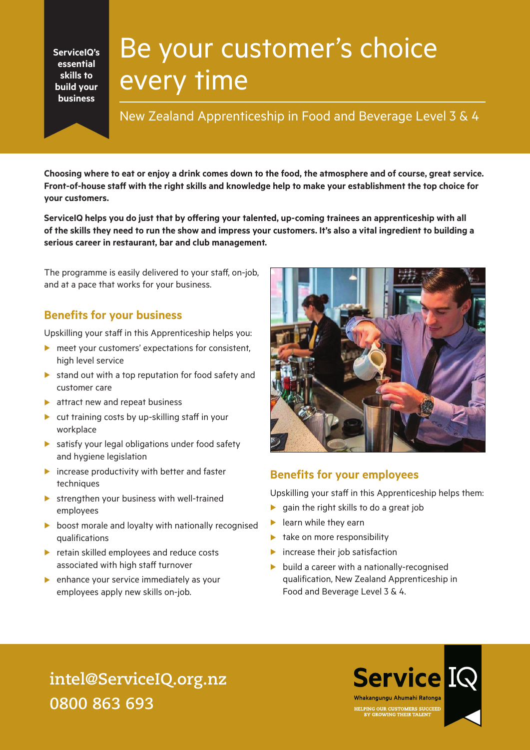**ServiceIQ's essential skills to build your business**

# Be your customer's choice every time

New Zealand Apprenticeship in Food and Beverage Level 3 & 4

**Choosing where to eat or enjoy a drink comes down to the food, the atmosphere and of course, great service. Front-of-house staff with the right skills and knowledge help to make your establishment the top choice for your customers.**

**ServiceIQ helps you do just that by offering your talented, up-coming trainees an apprenticeship with all of the skills they need to run the show and impress your customers. It's also a vital ingredient to building a serious career in restaurant, bar and club management.** 

The programme is easily delivered to your staff, on-job, and at a pace that works for your business.

### **Benefits for your business**

Upskilling your staff in this Apprenticeship helps you:

- $\triangleright$  meet your customers' expectations for consistent, high level service
- $\triangleright$  stand out with a top reputation for food safety and customer care
- $\blacktriangleright$  attract new and repeat business
- $\blacktriangleright$  cut training costs by up-skilling staff in your workplace
- $\blacktriangleright$  satisfy your legal obligations under food safety and hygiene legislation
- $\blacktriangleright$  increase productivity with better and faster techniques
- $\blacktriangleright$  strengthen your business with well-trained employees
- $\triangleright$  boost morale and loyalty with nationally recognised qualifications
- $\blacktriangleright$  retain skilled employees and reduce costs associated with high staff turnover
- $\blacktriangleright$  enhance your service immediately as your employees apply new skills on-job.



### **Benefits for your employees**

Upskilling your staff in this Apprenticeship helps them:

- $\blacktriangleright$  gain the right skills to do a great job
- $\blacktriangleright$  learn while they earn
- $\blacktriangleright$  take on more responsibility
- $\blacktriangleright$  increase their job satisfaction
- $\blacktriangleright$  build a career with a nationally-recognised qualification, New Zealand Apprenticeship in Food and Beverage Level 3 & 4.

# **intel@ServiceIQ.org.nz 0800 863 693**

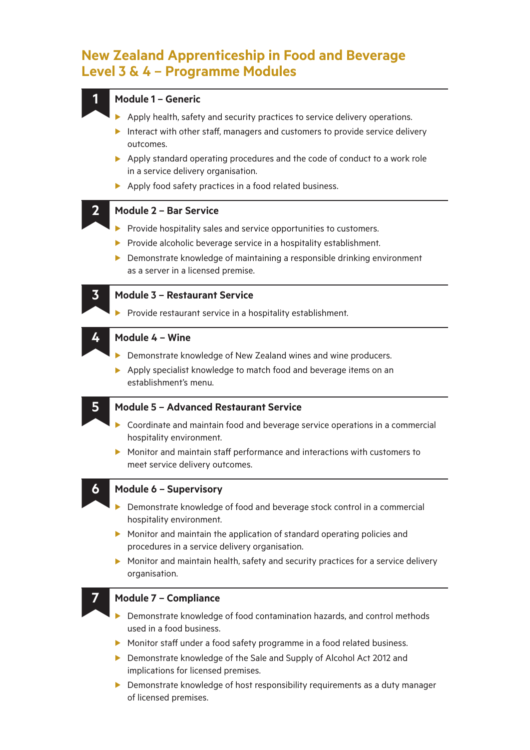## **New Zealand Apprenticeship in Food and Beverage Level 3 & 4 – Programme Modules**

#### **1 Module 1 – Generic**

- $\blacktriangleright$  Apply health, safety and security practices to service delivery operations.
- Interact with other staff, managers and customers to provide service delivery outcomes.
- $\blacktriangleright$  Apply standard operating procedures and the code of conduct to a work role in a service delivery organisation.
- $\blacktriangleright$  Apply food safety practices in a food related business.

#### **2 Module 2 – Bar Service**

- $\blacktriangleright$  Provide hospitality sales and service opportunities to customers.
- $\blacktriangleright$  Provide alcoholic beverage service in a hospitality establishment.
- $\blacktriangleright$  Demonstrate knowledge of maintaining a responsible drinking environment as a server in a licensed premise.



#### **3 Module 3 – Restaurant Service**

Provide restaurant service in a hospitality establishment.

#### **4 Module 4 – Wine**

- **Demonstrate knowledge of New Zealand wines and wine producers.**
- $\triangleright$  Apply specialist knowledge to match food and beverage items on an establishment's menu.

#### **5 Module 5 – Advanced Restaurant Service**

- $\triangleright$  Coordinate and maintain food and beverage service operations in a commercial hospitality environment.
- $\blacktriangleright$  Monitor and maintain staff performance and interactions with customers to meet service delivery outcomes.

#### **6 Module 6 – Supervisory**

- Demonstrate knowledge of food and beverage stock control in a commercial hospitality environment.
- $\triangleright$  Monitor and maintain the application of standard operating policies and procedures in a service delivery organisation.
- $\triangleright$  Monitor and maintain health, safety and security practices for a service delivery organisation.

#### **7 Module 7 – Compliance**

- $\blacktriangleright$  Demonstrate knowledge of food contamination hazards, and control methods used in a food business.
- $\triangleright$  Monitor staff under a food safety programme in a food related business.
- **Demonstrate knowledge of the Sale and Supply of Alcohol Act 2012 and** implications for licensed premises.
- $\blacktriangleright$  Demonstrate knowledge of host responsibility requirements as a duty manager of licensed premises.